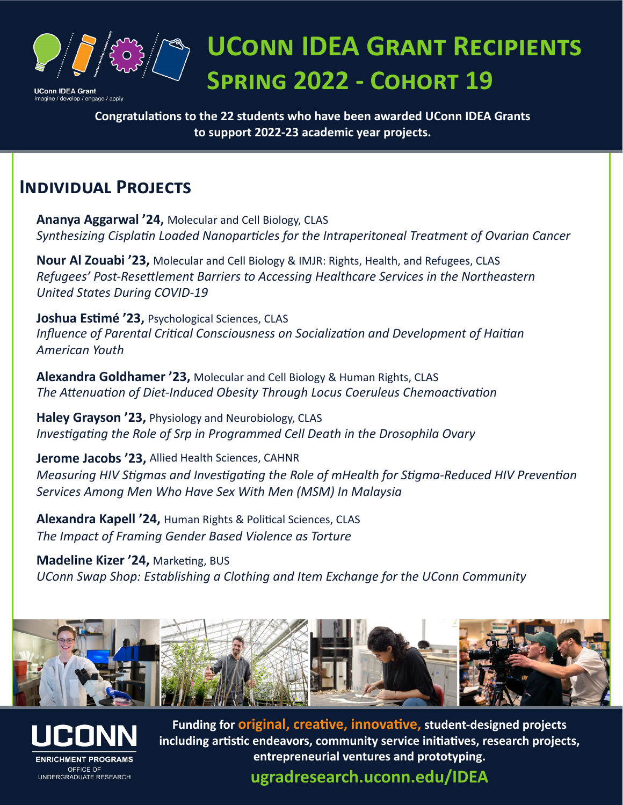

## **UConn IDEA Grant Recipients Spring 2022 - Cohort 19**

**Congratulations to the 22 students who have been awarded UConn IDEA Grants to support 2022-23 academic year projects.** 

## **Individual Projects**

**Ananya Aggarwal '24,** Molecular and Cell Biology, CLAS *Synthesizing Cisplatin Loaded Nanoparticles for the Intraperitoneal Treatment of Ovarian Cancer*

**Nour Al Zouabi '23,** Molecular and Cell Biology & IMJR: Rights, Health, and Refugees, CLAS *Refugees' Post-Resettlement Barriers to Accessing Healthcare Services in the Northeastern United States During COVID-19*

**Joshua Estimé '23,** Psychological Sciences, CLAS *Influence of Parental Critical Consciousness on Socialization and Development of Haitian American Youth*

**Alexandra Goldhamer '23,** Molecular and Cell Biology & Human Rights, CLAS *The Attenuation of Diet-Induced Obesity Through Locus Coeruleus Chemoactivation*

**Haley Grayson '23,** Physiology and Neurobiology, CLAS *Investigating the Role of Srp in Programmed Cell Death in the Drosophila Ovary*

**Jerome Jacobs '23,** Allied Health Sciences, CAHNR *Measuring HIV Stigmas and Investigating the Role of mHealth for Stigma-Reduced HIV Prevention Services Among Men Who Have Sex With Men (MSM) In Malaysia*

**Alexandra Kapell '24,** Human Rights & Political Sciences, CLAS *The Impact of Framing Gender Based Violence as Torture*

**Madeline Kizer '24,** Marketing, BUS *UConn Swap Shop: Establishing a Clothing and Item Exchange for the UConn Community*





**Funding for original, creative, innovative, student-designed projects including artistic endeavors, community service initiatives, research projects, entrepreneurial ventures and prototyping.**

**ugradresearch.uconn.edu/IDEA**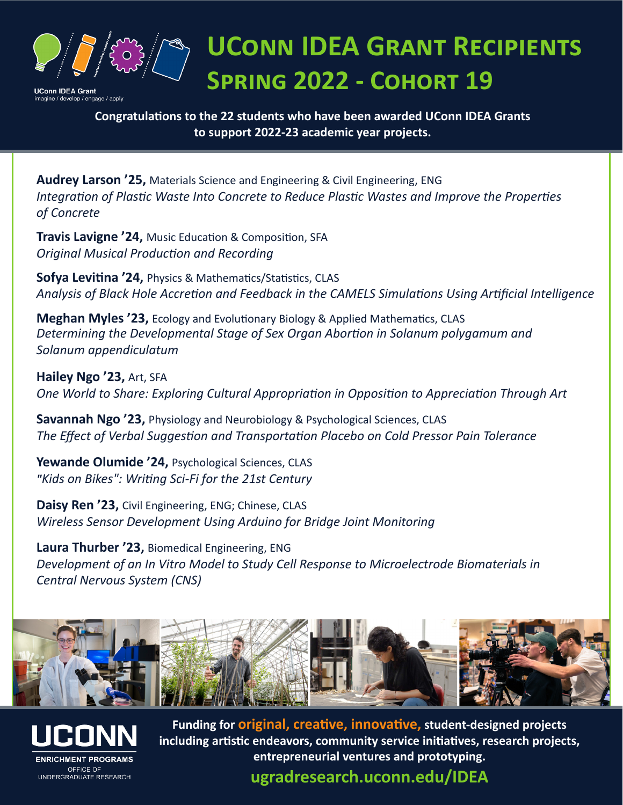

**UConn IDEA Grant Recipients Spring 2022 - Cohort 19**

**Congratulations to the 22 students who have been awarded UConn IDEA Grants to support 2022-23 academic year projects.** 

*Integration of Plastic Waste Into Concrete to Reduce Plastic Wastes and Improve the Properties of Concrete*

**Audrey Larson '25,** Materials Science and Engineering & Civil Engineering, ENG *Integration of Plastic Waste Into Concrete to Reduce Plastic Wastes and Improve the Properties of Concrete* 

**Travis Lavigne '24,** Music Education & Composition, SFA *Original Musical Production and Recording*

**Sofya Levitina '24,** Physics & Mathematics/Statistics, CLAS *Analysis of Black Hole Accretion and Feedback in the CAMELS Simulations Using Artificial Intelligence* 

**Meghan Myles '23,** Ecology and Evolutionary Biology & Applied Mathematics, CLAS *Determining the Developmental Stage of Sex Organ Abortion in Solanum polygamum and Solanum appendiculatum*

**Hailey Ngo '23,** Art, SFA *One World to Share: Exploring Cultural Appropriation in Opposition to Appreciation Through Art*

**Savannah Ngo '23,** Physiology and Neurobiology & Psychological Sciences, CLAS *The Effect of Verbal Suggestion and Transportation Placebo on Cold Pressor Pain Tolerance*

**Yewande Olumide '24,** Psychological Sciences, CLAS *"Kids on Bikes": Writing Sci-Fi for the 21st Century*

**Daisy Ren '23,** Civil Engineering, ENG; Chinese, CLAS *Wireless Sensor Development Using Arduino for Bridge Joint Monitoring*

**Laura Thurber '23,** Biomedical Engineering, ENG *Development of an In Vitro Model to Study Cell Response to Microelectrode Biomaterials in Central Nervous System (CNS)*





**Funding for original, creative, innovative, student-designed projects including artistic endeavors, community service initiatives, research projects, entrepreneurial ventures and prototyping.**

**ugradresearch.uconn.edu/IDEA**